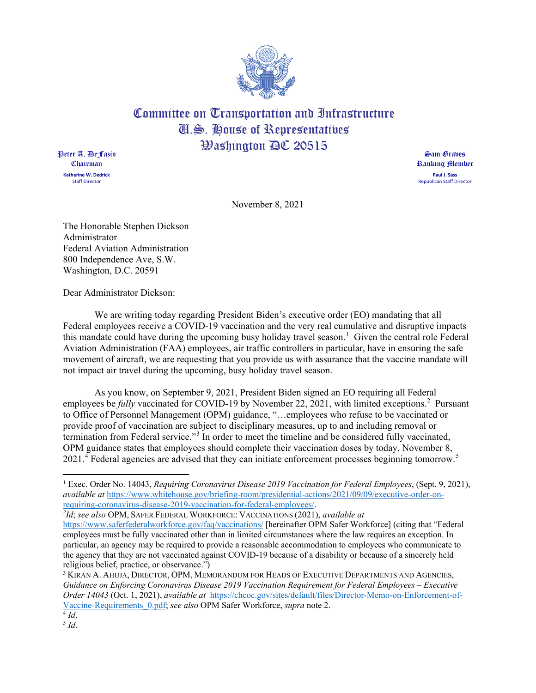

## Committee on Transportation and Infrastructure Cl.S. House of Representatives **Washington AC 20515**

Peter A. DeFazio Chairman **Katherine W. Dedrick** Staff Director

Sam Graves Ranking Member **Paul J. Sass** Republican Staff Director

November 8, 2021

The Honorable Stephen Dickson Administrator Federal Aviation Administration 800 Independence Ave, S.W. Washington, D.C. 20591

Dear Administrator Dickson:

We are writing today regarding President Biden's executive order (EO) mandating that all Federal employees receive a COVID-19 vaccination and the very real cumulative and disruptive impacts this mandate could have during the upcoming busy holiday travel season.<sup>[1](#page-0-0)</sup> Given the central role Federal Aviation Administration (FAA) employees, air traffic controllers in particular, have in ensuring the safe movement of aircraft, we are requesting that you provide us with assurance that the vaccine mandate will not impact air travel during the upcoming, busy holiday travel season.

As you know, on September 9, 2021, President Biden signed an EO requiring all Federal employees be *fully* vaccinated for COVID-19 by November [2](#page-0-1)2, 2021, with limited exceptions.<sup>2</sup> Pursuant to Office of Personnel Management (OPM) guidance, "…employees who refuse to be vaccinated or provide proof of vaccination are subject to disciplinary measures, up to and including removal or termination from Federal service."[3](#page-0-2) In order to meet the timeline and be considered fully vaccinated, OPM guidance states that employees should complete their vaccination doses by today, November 8, 2021.<sup>[4](#page-0-3)</sup> Federal agencies are advised that they can initiate enforcement processes beginning tomorrow.<sup>[5](#page-0-4)</sup>

<span id="page-0-1"></span>*2 Id*; *see also* OPM, SAFER FEDERAL WORKFORCE: VACCINATIONS (2021), *available at*

<span id="page-0-0"></span><sup>1</sup> Exec. Order No. 14043, *Requiring Coronavirus Disease 2019 Vaccination for Federal Employees*, (Sept. 9, 2021), *available at* [https://www.whitehouse.gov/briefing-room/presidential-actions/2021/09/09/executive-order-on](https://www.whitehouse.gov/briefing-room/presidential-actions/2021/09/09/executive-order-on-requiring-coronavirus-disease-2019-vaccination-for-federal-employees/)[requiring-coronavirus-disease-2019-vaccination-for-federal-employees/.](https://www.whitehouse.gov/briefing-room/presidential-actions/2021/09/09/executive-order-on-requiring-coronavirus-disease-2019-vaccination-for-federal-employees/)

<https://www.saferfederalworkforce.gov/faq/vaccinations/> [hereinafter OPM Safer Workforce] (citing that "Federal employees must be fully vaccinated other than in limited circumstances where the law requires an exception. In particular, an agency may be required to provide a reasonable accommodation to employees who communicate to the agency that they are not vaccinated against COVID-19 because of a disability or because of a sincerely held religious belief, practice, or observance.")

<span id="page-0-2"></span><sup>3</sup> KIRAN A. AHUJA, DIRECTOR, OPM, MEMORANDUM FOR HEADS OF EXECUTIVE DEPARTMENTS AND AGENCIES, *Guidance on Enforcing Coronavirus Disease 2019 Vaccination Requirement for Federal Employees – Executive Order 14043* (Oct. 1, 2021), *available at* [https://chcoc.gov/sites/default/files/Director-Memo-on-Enforcement-of-](https://chcoc.gov/sites/default/files/Director-Memo-on-Enforcement-of-Vaccine-Requirements_0.pdf)[Vaccine-Requirements\\_0.pdf;](https://chcoc.gov/sites/default/files/Director-Memo-on-Enforcement-of-Vaccine-Requirements_0.pdf) *see also* OPM Safer Workforce, *supra* note 2.

<span id="page-0-4"></span><span id="page-0-3"></span> $\overline{4}$  *Id*. <sup>5</sup> *Id*.